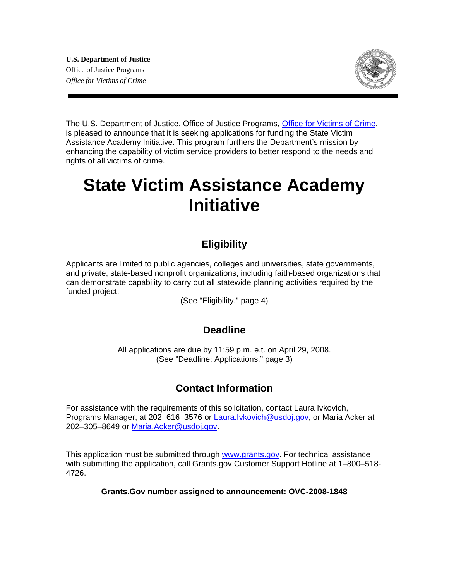**U.S. Department of Justice**  Office of Justice Programs *Office for Victims of Crime* 



The U.S. Department of Justice, Office of Justice Programs, [Office for Victims of Crime](http://www.ovc.gov/), is pleased to announce that it is seeking applications for funding the State Victim Assistance Academy Initiative. This program furthers the Department's mission by enhancing the capability of victim service providers to better respond to the needs and rights of all victims of crime.

# **State Victim Assistance Academy Initiative**

### **Eligibility**

Applicants are limited to public agencies, colleges and universities, state governments, and private, state-based nonprofit organizations, including faith-based organizations that can demonstrate capability to carry out all statewide planning activities required by the funded project.

(See "Eligibility," page 4)

### **Deadline**

All applications are due by 11:59 p.m. e.t. on April 29, 2008. (See "Deadline: Applications," page 3)

### **Contact Information**

For assistance with the requirements of this solicitation, contact Laura Ivkovich, Programs Manager, at 202–616–3576 or [Laura.Ivkovich@usdoj.gov,](mailto:Laura.Ivkovich@usdoj.gov) or Maria Acker at 202–305–8649 or [Maria.Acker@usdoj.gov](mailto:Maria.Acker@usdoj.gov).

This application must be submitted through [www.grants.gov](http://www.grants.gov/). For technical assistance with submitting the application, call Grants.gov Customer Support Hotline at 1–800–518- 4726.

**Grants.Gov number assigned to announcement: OVC-2008-1848**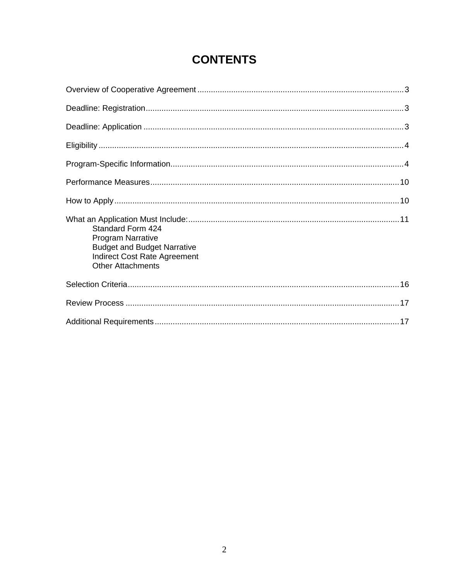| Standard Form 424<br><b>Program Narrative</b><br><b>Budget and Budget Narrative</b><br><b>Indirect Cost Rate Agreement</b><br><b>Other Attachments</b> |  |
|--------------------------------------------------------------------------------------------------------------------------------------------------------|--|
|                                                                                                                                                        |  |
|                                                                                                                                                        |  |
|                                                                                                                                                        |  |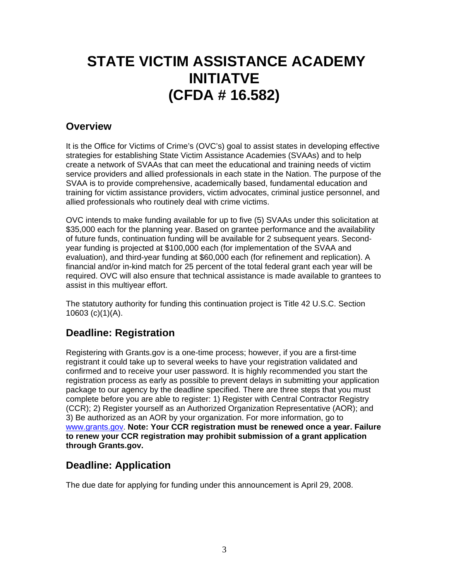## **STATE VICTIM ASSISTANCE ACADEMY INITIATVE (CFDA # 16.582)**

### **Overview**

It is the Office for Victims of Crime's (OVC's) goal to assist states in developing effective strategies for establishing State Victim Assistance Academies (SVAAs) and to help create a network of SVAAs that can meet the educational and training needs of victim service providers and allied professionals in each state in the Nation. The purpose of the SVAA is to provide comprehensive, academically based, fundamental education and training for victim assistance providers, victim advocates, criminal justice personnel, and allied professionals who routinely deal with crime victims.

OVC intends to make funding available for up to five (5) SVAAs under this solicitation at \$35,000 each for the planning year. Based on grantee performance and the availability of future funds, continuation funding will be available for 2 subsequent years. Secondyear funding is projected at \$100,000 each (for implementation of the SVAA and evaluation), and third-year funding at \$60,000 each (for refinement and replication). A financial and/or in-kind match for 25 percent of the total federal grant each year will be required. OVC will also ensure that technical assistance is made available to grantees to assist in this multiyear effort.

The statutory authority for funding this continuation project is Title 42 U.S.C. Section 10603 (c)(1)(A).

### **Deadline: Registration**

Registering with Grants.gov is a one-time process; however, if you are a first-time registrant it could take up to several weeks to have your registration validated and confirmed and to receive your user password. It is highly recommended you start the registration process as early as possible to prevent delays in submitting your application package to our agency by the deadline specified. There are three steps that you must complete before you are able to register: 1) Register with Central Contractor Registry (CCR); 2) Register yourself as an Authorized Organization Representative (AOR); and 3) Be authorized as an AOR by your organization. For more information, go to [www.grants.gov](http://www.grants.gov/). **Note: Your CCR registration must be renewed once a year. Failure to renew your CCR registration may prohibit submission of a grant application through Grants.gov.** 

### **Deadline: Application**

The due date for applying for funding under this announcement is April 29, 2008.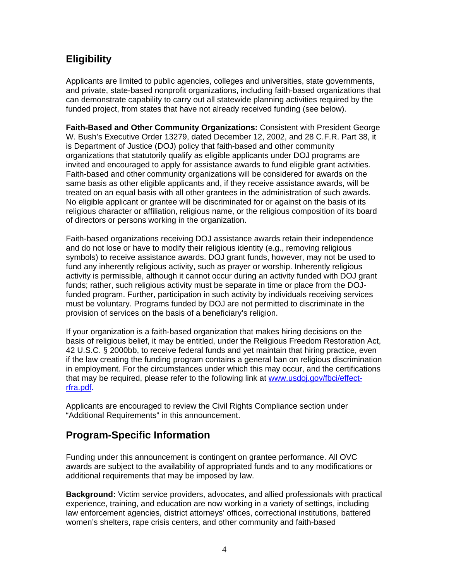### **Eligibility**

Applicants are limited to public agencies, colleges and universities, state governments, and private, state-based nonprofit organizations, including faith-based organizations that can demonstrate capability to carry out all statewide planning activities required by the funded project, from states that have not already received funding (see below).

**Faith-Based and Other Community Organizations:** Consistent with President George W. Bush's Executive Order 13279, dated December 12, 2002, and 28 C.F.R. Part 38, it is Department of Justice (DOJ) policy that faith-based and other community organizations that statutorily qualify as eligible applicants under DOJ programs are invited and encouraged to apply for assistance awards to fund eligible grant activities. Faith-based and other community organizations will be considered for awards on the same basis as other eligible applicants and, if they receive assistance awards, will be treated on an equal basis with all other grantees in the administration of such awards. No eligible applicant or grantee will be discriminated for or against on the basis of its religious character or affiliation, religious name, or the religious composition of its board of directors or persons working in the organization.

Faith-based organizations receiving DOJ assistance awards retain their independence and do not lose or have to modify their religious identity (e.g., removing religious symbols) to receive assistance awards. DOJ grant funds, however, may not be used to fund any inherently religious activity, such as prayer or worship. Inherently religious activity is permissible, although it cannot occur during an activity funded with DOJ grant funds; rather, such religious activity must be separate in time or place from the DOJfunded program. Further, participation in such activity by individuals receiving services must be voluntary. Programs funded by DOJ are not permitted to discriminate in the provision of services on the basis of a beneficiary's religion.

If your organization is a faith-based organization that makes hiring decisions on the basis of religious belief, it may be entitled, under the Religious Freedom Restoration Act, 42 U.S.C. § 2000bb, to receive federal funds and yet maintain that hiring practice, even if the law creating the funding program contains a general ban on religious discrimination in employment. For the circumstances under which this may occur, and the certifications that may be required, please refer to the following link at [www.usdoj.gov/fbci/effect](http://www.usdoj.gov/fbci/effect-rfra.pdf)[rfra.pdf.](http://www.usdoj.gov/fbci/effect-rfra.pdf)

Applicants are encouraged to review the Civil Rights Compliance section under "Additional Requirements" in this announcement.

### **Program-Specific Information**

Funding under this announcement is contingent on grantee performance. All OVC awards are subject to the availability of appropriated funds and to any modifications or additional requirements that may be imposed by law.

**Background:** Victim service providers, advocates, and allied professionals with practical experience, training, and education are now working in a variety of settings, including law enforcement agencies, district attorneys' offices, correctional institutions, battered women's shelters, rape crisis centers, and other community and faith-based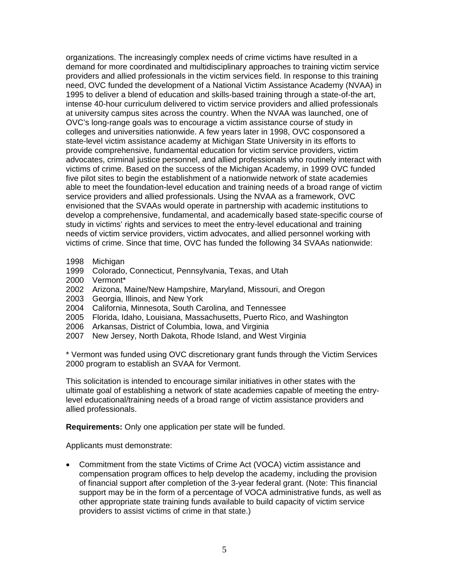organizations. The increasingly complex needs of crime victims have resulted in a demand for more coordinated and multidisciplinary approaches to training victim service providers and allied professionals in the victim services field. In response to this training need, OVC funded the development of a National Victim Assistance Academy (NVAA) in 1995 to deliver a blend of education and skills-based training through a state-of-the art, intense 40-hour curriculum delivered to victim service providers and allied professionals at university campus sites across the country. When the NVAA was launched, one of OVC's long-range goals was to encourage a victim assistance course of study in colleges and universities nationwide. A few years later in 1998, OVC cosponsored a state-level victim assistance academy at Michigan State University in its efforts to provide comprehensive, fundamental education for victim service providers, victim advocates, criminal justice personnel, and allied professionals who routinely interact with victims of crime. Based on the success of the Michigan Academy, in 1999 OVC funded five pilot sites to begin the establishment of a nationwide network of state academies able to meet the foundation-level education and training needs of a broad range of victim service providers and allied professionals. Using the NVAA as a framework, OVC envisioned that the SVAAs would operate in partnership with academic institutions to develop a comprehensive, fundamental, and academically based state-specific course of study in victims' rights and services to meet the entry-level educational and training needs of victim service providers, victim advocates, and allied personnel working with victims of crime. Since that time, OVC has funded the following 34 SVAAs nationwide:

- 1998 Michigan
- 1999 Colorado, Connecticut, Pennsylvania, Texas, and Utah
- 2000 Vermont\*
- 2002 Arizona, Maine/New Hampshire, Maryland, Missouri, and Oregon
- 2003 Georgia, Illinois, and New York
- 2004 California, Minnesota, South Carolina, and Tennessee
- 2005 Florida, Idaho, Louisiana, Massachusetts, Puerto Rico, and Washington
- 2006 Arkansas, District of Columbia, Iowa, and Virginia
- 2007 New Jersey, North Dakota, Rhode Island, and West Virginia

\* Vermont was funded using OVC discretionary grant funds through the Victim Services 2000 program to establish an SVAA for Vermont.

This solicitation is intended to encourage similar initiatives in other states with the ultimate goal of establishing a network of state academies capable of meeting the entrylevel educational/training needs of a broad range of victim assistance providers and allied professionals.

**Requirements:** Only one application per state will be funded.

Applicants must demonstrate:

• Commitment from the state Victims of Crime Act (VOCA) victim assistance and compensation program offices to help develop the academy, including the provision of financial support after completion of the 3-year federal grant. (Note: This financial support may be in the form of a percentage of VOCA administrative funds, as well as other appropriate state training funds available to build capacity of victim service providers to assist victims of crime in that state.)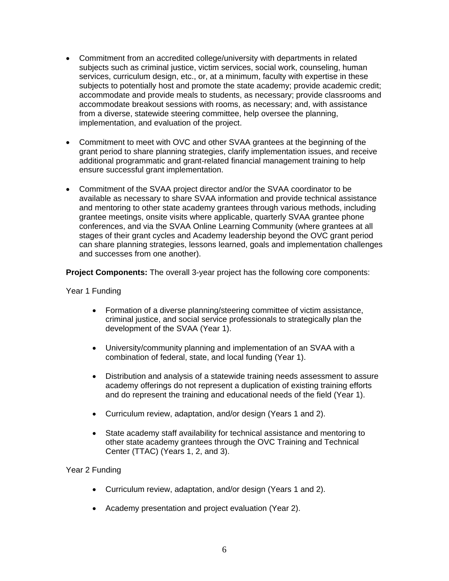- Commitment from an accredited college/university with departments in related subjects such as criminal justice, victim services, social work, counseling, human services, curriculum design, etc., or, at a minimum, faculty with expertise in these subjects to potentially host and promote the state academy; provide academic credit; accommodate and provide meals to students, as necessary; provide classrooms and accommodate breakout sessions with rooms, as necessary; and, with assistance from a diverse, statewide steering committee, help oversee the planning, implementation, and evaluation of the project.
- Commitment to meet with OVC and other SVAA grantees at the beginning of the grant period to share planning strategies, clarify implementation issues, and receive additional programmatic and grant-related financial management training to help ensure successful grant implementation.
- Commitment of the SVAA project director and/or the SVAA coordinator to be available as necessary to share SVAA information and provide technical assistance and mentoring to other state academy grantees through various methods, including grantee meetings, onsite visits where applicable, quarterly SVAA grantee phone conferences, and via the SVAA Online Learning Community (where grantees at all stages of their grant cycles and Academy leadership beyond the OVC grant period can share planning strategies, lessons learned, goals and implementation challenges and successes from one another).

**Project Components:** The overall 3-year project has the following core components:

Year 1 Funding

- Formation of a diverse planning/steering committee of victim assistance, criminal justice, and social service professionals to strategically plan the development of the SVAA (Year 1).
- University/community planning and implementation of an SVAA with a combination of federal, state, and local funding (Year 1).
- Distribution and analysis of a statewide training needs assessment to assure academy offerings do not represent a duplication of existing training efforts and do represent the training and educational needs of the field (Year 1).
- Curriculum review, adaptation, and/or design (Years 1 and 2).
- State academy staff availability for technical assistance and mentoring to other state academy grantees through the OVC Training and Technical Center (TTAC) (Years 1, 2, and 3).

#### Year 2 Funding

- Curriculum review, adaptation, and/or design (Years 1 and 2).
- Academy presentation and project evaluation (Year 2).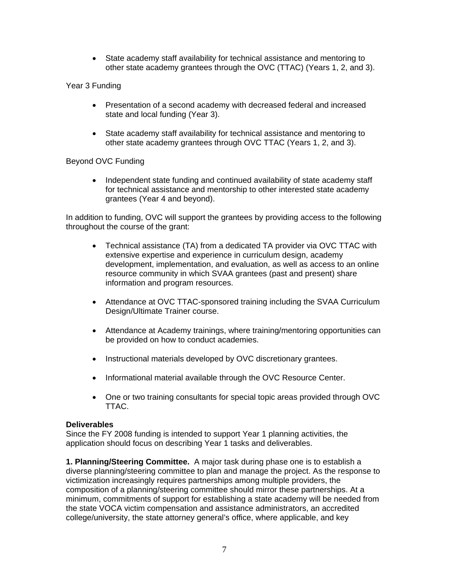• State academy staff availability for technical assistance and mentoring to other state academy grantees through the OVC (TTAC) (Years 1, 2, and 3).

Year 3 Funding

- Presentation of a second academy with decreased federal and increased state and local funding (Year 3).
- State academy staff availability for technical assistance and mentoring to other state academy grantees through OVC TTAC (Years 1, 2, and 3).

#### Beyond OVC Funding

• Independent state funding and continued availability of state academy staff for technical assistance and mentorship to other interested state academy grantees (Year 4 and beyond).

In addition to funding, OVC will support the grantees by providing access to the following throughout the course of the grant:

- Technical assistance (TA) from a dedicated TA provider via OVC TTAC with extensive expertise and experience in curriculum design, academy development, implementation, and evaluation, as well as access to an online resource community in which SVAA grantees (past and present) share information and program resources.
- Attendance at OVC TTAC-sponsored training including the SVAA Curriculum Design/Ultimate Trainer course.
- Attendance at Academy trainings, where training/mentoring opportunities can be provided on how to conduct academies.
- Instructional materials developed by OVC discretionary grantees.
- Informational material available through the OVC Resource Center.
- One or two training consultants for special topic areas provided through OVC TTAC.

#### **Deliverables**

Since the FY 2008 funding is intended to support Year 1 planning activities, the application should focus on describing Year 1 tasks and deliverables.

**1. Planning/Steering Committee.** A major task during phase one is to establish a diverse planning/steering committee to plan and manage the project. As the response to victimization increasingly requires partnerships among multiple providers, the composition of a planning/steering committee should mirror these partnerships. At a minimum, commitments of support for establishing a state academy will be needed from the state VOCA victim compensation and assistance administrators, an accredited college/university, the state attorney general's office, where applicable, and key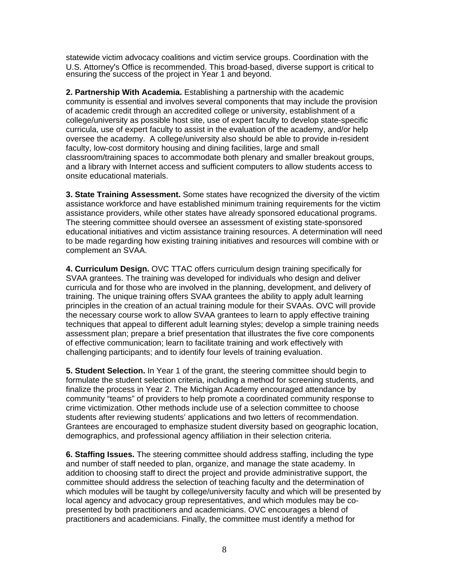statewide victim advocacy coalitions and victim service groups. Coordination with the U.S. Attorney's Office is recommended. This broad-based, diverse support is critical to ensuring the success of the project in Year 1 and beyond.

**2. Partnership With Academia.** Establishing a partnership with the academic community is essential and involves several components that may include the provision of academic credit through an accredited college or university, establishment of a college/university as possible host site, use of expert faculty to develop state-specific curricula, use of expert faculty to assist in the evaluation of the academy, and/or help oversee the academy. A college/university also should be able to provide in-resident faculty, low-cost dormitory housing and dining facilities, large and small classroom/training spaces to accommodate both plenary and smaller breakout groups, and a library with Internet access and sufficient computers to allow students access to onsite educational materials.

**3. State Training Assessment.** Some states have recognized the diversity of the victim assistance workforce and have established minimum training requirements for the victim assistance providers, while other states have already sponsored educational programs. The steering committee should oversee an assessment of existing state-sponsored educational initiatives and victim assistance training resources. A determination will need to be made regarding how existing training initiatives and resources will combine with or complement an SVAA.

**4. Curriculum Design.** OVC TTAC offers curriculum design training specifically for SVAA grantees. The training was developed for individuals who design and deliver curricula and for those who are involved in the planning, development, and delivery of training. The unique training offers SVAA grantees the ability to apply adult learning principles in the creation of an actual training module for their SVAAs. OVC will provide the necessary course work to allow SVAA grantees to learn to apply effective training techniques that appeal to different adult learning styles; develop a simple training needs assessment plan; prepare a brief presentation that illustrates the five core components of effective communication; learn to facilitate training and work effectively with challenging participants; and to identify four levels of training evaluation.

**5. Student Selection.** In Year 1 of the grant, the steering committee should begin to formulate the student selection criteria, including a method for screening students, and finalize the process in Year 2. The Michigan Academy encouraged attendance by community "teams" of providers to help promote a coordinated community response to crime victimization. Other methods include use of a selection committee to choose students after reviewing students' applications and two letters of recommendation. Grantees are encouraged to emphasize student diversity based on geographic location, demographics, and professional agency affiliation in their selection criteria.

**6. Staffing Issues.** The steering committee should address staffing, including the type and number of staff needed to plan, organize, and manage the state academy. In addition to choosing staff to direct the project and provide administrative support, the committee should address the selection of teaching faculty and the determination of which modules will be taught by college/university faculty and which will be presented by local agency and advocacy group representatives, and which modules may be copresented by both practitioners and academicians. OVC encourages a blend of practitioners and academicians. Finally, the committee must identify a method for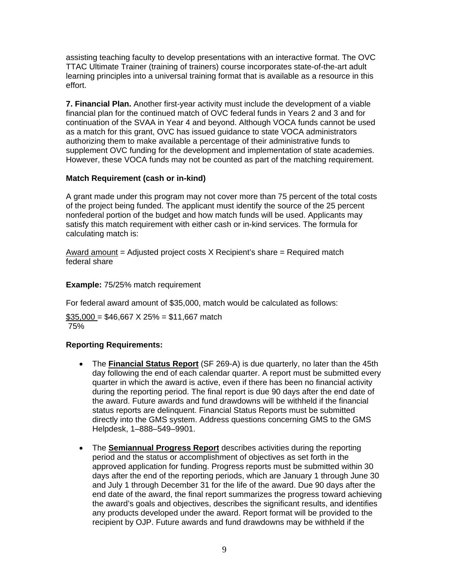assisting teaching faculty to develop presentations with an interactive format. The OVC TTAC Ultimate Trainer (training of trainers) course incorporates state-of-the-art adult learning principles into a universal training format that is available as a resource in this effort.

**7. Financial Plan.** Another first-year activity must include the development of a viable financial plan for the continued match of OVC federal funds in Years 2 and 3 and for continuation of the SVAA in Year 4 and beyond. Although VOCA funds cannot be used as a match for this grant, OVC has issued guidance to state VOCA administrators authorizing them to make available a percentage of their administrative funds to supplement OVC funding for the development and implementation of state academies. However, these VOCA funds may not be counted as part of the matching requirement.

#### **Match Requirement (cash or in-kind)**

A grant made under this program may not cover more than 75 percent of the total costs of the project being funded. The applicant must identify the source of the 25 percent nonfederal portion of the budget and how match funds will be used. Applicants may satisfy this match requirement with either cash or in-kind services. The formula for calculating match is:

Award amount  $=$  Adjusted project costs X Recipient's share  $=$  Required match federal share

#### **Example:** 75/25% match requirement

For federal award amount of \$35,000, match would be calculated as follows:

 $$35,000 = $46,667 \times 25\% = $11,667$  match 75%

#### **Reporting Requirements:**

- The **Financial Status Report** (SF 269-A) is due quarterly, no later than the 45th day following the end of each calendar quarter. A report must be submitted every quarter in which the award is active, even if there has been no financial activity during the reporting period. The final report is due 90 days after the end date of the award. Future awards and fund drawdowns will be withheld if the financial status reports are delinquent. Financial Status Reports must be submitted directly into the GMS system. Address questions concerning GMS to the GMS Helpdesk, 1–888–549–9901.
- The **Semiannual Progress Report** describes activities during the reporting period and the status or accomplishment of objectives as set forth in the approved application for funding. Progress reports must be submitted within 30 days after the end of the reporting periods, which are January 1 through June 30 and July 1 through December 31 for the life of the award. Due 90 days after the end date of the award, the final report summarizes the progress toward achieving the award's goals and objectives, describes the significant results, and identifies any products developed under the award. Report format will be provided to the recipient by OJP. Future awards and fund drawdowns may be withheld if the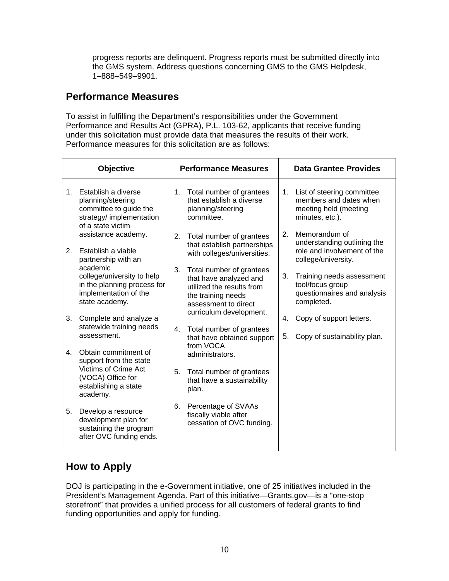progress reports are delinquent. Progress reports must be submitted directly into the GMS system. Address questions concerning GMS to the GMS Helpdesk, 1–888–549–9901.

### **Performance Measures**

To assist in fulfilling the Department's responsibilities under the Government Performance and Results Act (GPRA), P.L. 103-62, applicants that receive funding under this solicitation must provide data that measures the results of their work. Performance measures for this solicitation are as follows:

| Objective   |                                                                                                                                        | <b>Performance Measures</b> |                                                                                                                               | <b>Data Grantee Provides</b> |                                                                                                    |
|-------------|----------------------------------------------------------------------------------------------------------------------------------------|-----------------------------|-------------------------------------------------------------------------------------------------------------------------------|------------------------------|----------------------------------------------------------------------------------------------------|
| $1_{-}$     | Establish a diverse<br>planning/steering<br>committee to guide the<br>strategy/ implementation<br>of a state victim                    | 1.                          | Total number of grantees<br>that establish a diverse<br>planning/steering<br>committee.                                       | 1.                           | List of steering committee<br>members and dates when<br>meeting held (meeting<br>minutes, etc.).   |
| 2.          | assistance academy.<br>Establish a viable<br>partnership with an                                                                       | 2.                          | Total number of grantees<br>that establish partnerships<br>with colleges/universities.                                        | 2.                           | Memorandum of<br>understanding outlining the<br>role and involvement of the<br>college/university. |
|             | academic<br>college/university to help<br>in the planning process for<br>implementation of the<br>state academy.                       | 3.                          | Total number of grantees<br>that have analyzed and<br>utilized the results from<br>the training needs<br>assessment to direct | 3.                           | Training needs assessment<br>tool/focus group<br>questionnaires and analysis<br>completed.         |
| 3.          | Complete and analyze a<br>statewide training needs<br>assessment.                                                                      | $4_{-}$                     | curriculum development.<br>Total number of grantees<br>that have obtained support                                             | 4.<br>5.                     | Copy of support letters.<br>Copy of sustainability plan.                                           |
| $4_{\cdot}$ | Obtain commitment of<br>support from the state<br><b>Victims of Crime Act</b><br>(VOCA) Office for<br>establishing a state<br>academy. |                             | from VOCA<br>administrators.                                                                                                  |                              |                                                                                                    |
|             |                                                                                                                                        | 5.                          | Total number of grantees<br>that have a sustainability<br>plan.                                                               |                              |                                                                                                    |
| 5.          | Develop a resource<br>development plan for<br>sustaining the program<br>after OVC funding ends.                                        | 6.                          | Percentage of SVAAs<br>fiscally viable after<br>cessation of OVC funding.                                                     |                              |                                                                                                    |

### **How to Apply**

DOJ is participating in the e-Government initiative, one of 25 initiatives included in the President's Management Agenda. Part of this initiative—Grants.gov—is a "one-stop storefront" that provides a unified process for all customers of federal grants to find funding opportunities and apply for funding.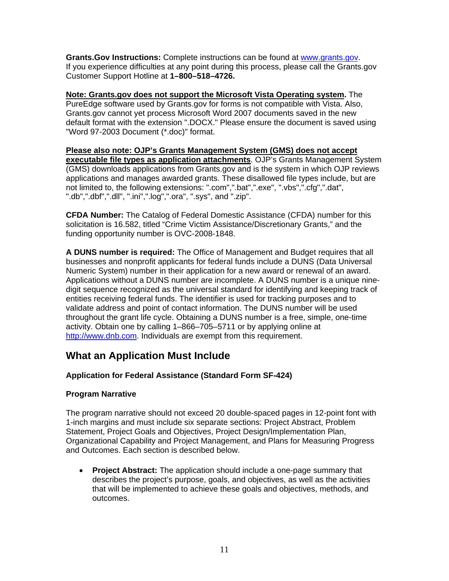**Grants.Gov Instructions:** Complete instructions can be found at [www.grants.gov.](http://www.grants.gov/) If you experience difficulties at any point during this process, please call the Grants.gov Customer Support Hotline at **1–800–518–4726.**

**Note: Grants.gov does not support the Microsoft Vista Operating system.** The PureEdge software used by Grants.gov for forms is not compatible with Vista. Also, Grants.gov cannot yet process Microsoft Word 2007 documents saved in the new default format with the extension ".DOCX." Please ensure the document is saved using "Word 97-2003 Document (\*.doc)" format.

**Please also note: OJP's Grants Management System (GMS) does not accept executable file types as application attachments**. OJP's Grants Management System (GMS) downloads applications from Grants.gov and is the system in which OJP reviews applications and manages awarded grants. These disallowed file types include, but are not limited to, the following extensions: ".com",".bat",".exe", ".vbs",".cfg",".dat", ".db",".dbf",".dll", ".ini",".log",".ora", ".sys", and ".zip".

**CFDA Number:** The Catalog of Federal Domestic Assistance (CFDA) number for this solicitation is 16.582, titled "Crime Victim Assistance/Discretionary Grants," and the funding opportunity number is OVC-2008-1848.

**A DUNS number is required:** The Office of Management and Budget requires that all businesses and nonprofit applicants for federal funds include a DUNS (Data Universal Numeric System) number in their application for a new award or renewal of an award. Applications without a DUNS number are incomplete. A DUNS number is a unique ninedigit sequence recognized as the universal standard for identifying and keeping track of entities receiving federal funds. The identifier is used for tracking purposes and to validate address and point of contact information. The DUNS number will be used throughout the grant life cycle. Obtaining a DUNS number is a free, simple, one-time activity. Obtain one by calling 1–866–705–5711 or by applying online at [http://www.dnb.com.](http://www.dnb.com/) Individuals are exempt from this requirement.

### **What an Application Must Include**

#### **Application for Federal Assistance (Standard Form SF-424)**

#### **Program Narrative**

The program narrative should not exceed 20 double-spaced pages in 12-point font with 1-inch margins and must include six separate sections: Project Abstract, Problem Statement, Project Goals and Objectives, Project Design/Implementation Plan, Organizational Capability and Project Management, and Plans for Measuring Progress and Outcomes. Each section is described below.

• **Project Abstract:** The application should include a one-page summary that describes the project's purpose, goals, and objectives, as well as the activities that will be implemented to achieve these goals and objectives, methods, and outcomes.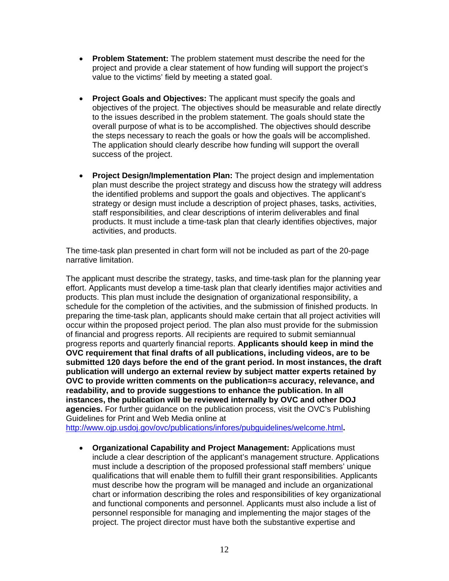- **Problem Statement:** The problem statement must describe the need for the project and provide a clear statement of how funding will support the project's value to the victims' field by meeting a stated goal.
- **Project Goals and Objectives:** The applicant must specify the goals and objectives of the project. The objectives should be measurable and relate directly to the issues described in the problem statement. The goals should state the overall purpose of what is to be accomplished. The objectives should describe the steps necessary to reach the goals or how the goals will be accomplished. The application should clearly describe how funding will support the overall success of the project.
- **Project Design/Implementation Plan:** The project design and implementation plan must describe the project strategy and discuss how the strategy will address the identified problems and support the goals and objectives. The applicant's strategy or design must include a description of project phases, tasks, activities, staff responsibilities, and clear descriptions of interim deliverables and final products. It must include a time-task plan that clearly identifies objectives, major activities, and products.

The time-task plan presented in chart form will not be included as part of the 20-page narrative limitation.

The applicant must describe the strategy, tasks, and time-task plan for the planning year effort. Applicants must develop a time-task plan that clearly identifies major activities and products. This plan must include the designation of organizational responsibility, a schedule for the completion of the activities, and the submission of finished products. In preparing the time-task plan, applicants should make certain that all project activities will occur within the proposed project period. The plan also must provide for the submission of financial and progress reports. All recipients are required to submit semiannual progress reports and quarterly financial reports. **Applicants should keep in mind the OVC requirement that final drafts of all publications, including videos, are to be submitted 120 days before the end of the grant period. In most instances, the draft publication will undergo an external review by subject matter experts retained by OVC to provide written comments on the publication=s accuracy, relevance, and readability, and to provide suggestions to enhance the publication. In all instances, the publication will be reviewed internally by OVC and other DOJ agencies.** For further guidance on the publication process, visit the OVC's Publishing Guidelines for Print and Web Media online at

<http://www.ojp.usdoj.gov/ovc/publications/infores/pubguidelines/welcome.html>**.** 

• **Organizational Capability and Project Management:** Applications must include a clear description of the applicant's management structure. Applications must include a description of the proposed professional staff members' unique qualifications that will enable them to fulfill their grant responsibilities. Applicants must describe how the program will be managed and include an organizational chart or information describing the roles and responsibilities of key organizational and functional components and personnel. Applicants must also include a list of personnel responsible for managing and implementing the major stages of the project. The project director must have both the substantive expertise and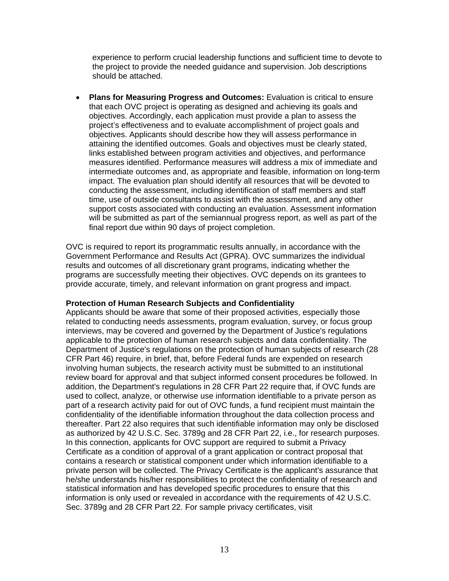experience to perform crucial leadership functions and sufficient time to devote to the project to provide the needed guidance and supervision. Job descriptions should be attached.

• **Plans for Measuring Progress and Outcomes:** Evaluation is critical to ensure that each OVC project is operating as designed and achieving its goals and objectives. Accordingly, each application must provide a plan to assess the project's effectiveness and to evaluate accomplishment of project goals and objectives. Applicants should describe how they will assess performance in attaining the identified outcomes. Goals and objectives must be clearly stated, links established between program activities and objectives, and performance measures identified. Performance measures will address a mix of immediate and intermediate outcomes and, as appropriate and feasible, information on long-term impact. The evaluation plan should identify all resources that will be devoted to conducting the assessment, including identification of staff members and staff time, use of outside consultants to assist with the assessment, and any other support costs associated with conducting an evaluation. Assessment information will be submitted as part of the semiannual progress report, as well as part of the final report due within 90 days of project completion.

OVC is required to report its programmatic results annually, in accordance with the Government Performance and Results Act (GPRA). OVC summarizes the individual results and outcomes of all discretionary grant programs, indicating whether the programs are successfully meeting their objectives. OVC depends on its grantees to provide accurate, timely, and relevant information on grant progress and impact.

#### **Protection of Human Research Subjects and Confidentiality**

Applicants should be aware that some of their proposed activities, especially those related to conducting needs assessments, program evaluation, survey, or focus group interviews, may be covered and governed by the Department of Justice's regulations applicable to the protection of human research subjects and data confidentiality. The Department of Justice's regulations on the protection of human subjects of research (28 CFR Part 46) require, in brief, that, before Federal funds are expended on research involving human subjects, the research activity must be submitted to an institutional review board for approval and that subject informed consent procedures be followed. In addition, the Department's regulations in 28 CFR Part 22 require that, if OVC funds are used to collect, analyze, or otherwise use information identifiable to a private person as part of a research activity paid for out of OVC funds, a fund recipient must maintain the confidentiality of the identifiable information throughout the data collection process and thereafter. Part 22 also requires that such identifiable information may only be disclosed as authorized by 42 U.S.C. Sec. 3789g and 28 CFR Part 22, i.e., for research purposes. In this connection, applicants for OVC support are required to submit a Privacy Certificate as a condition of approval of a grant application or contract proposal that contains a research or statistical component under which information identifiable to a private person will be collected. The Privacy Certificate is the applicant's assurance that he/she understands his/her responsibilities to protect the confidentiality of research and statistical information and has developed specific procedures to ensure that this information is only used or revealed in accordance with the requirements of 42 U.S.C. Sec. 3789g and 28 CFR Part 22. For sample privacy certificates, visit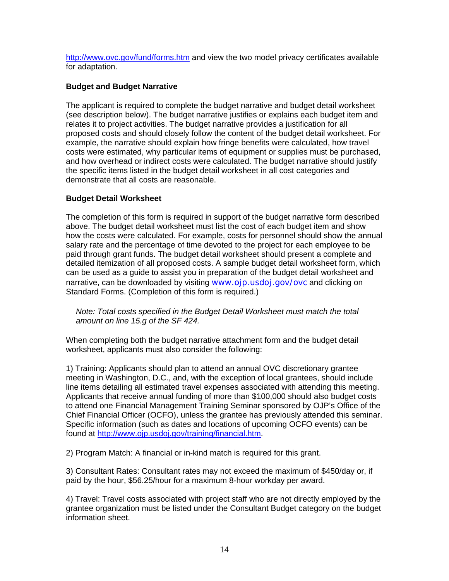<http://www.ovc.gov/fund/forms.htm>and view the two model privacy certificates available for adaptation.

#### **Budget and Budget Narrative**

The applicant is required to complete the budget narrative and budget detail worksheet (see description below). The budget narrative justifies or explains each budget item and relates it to project activities. The budget narrative provides a justification for all proposed costs and should closely follow the content of the budget detail worksheet. For example, the narrative should explain how fringe benefits were calculated, how travel costs were estimated, why particular items of equipment or supplies must be purchased, and how overhead or indirect costs were calculated. The budget narrative should justify the specific items listed in the budget detail worksheet in all cost categories and demonstrate that all costs are reasonable.

#### **Budget Detail Worksheet**

The completion of this form is required in support of the budget narrative form described above. The budget detail worksheet must list the cost of each budget item and show how the costs were calculated. For example, costs for personnel should show the annual salary rate and the percentage of time devoted to the project for each employee to be paid through grant funds. The budget detail worksheet should present a complete and detailed itemization of all proposed costs. A sample budget detail worksheet form, which can be used as a guide to assist you in preparation of the budget detail worksheet and narrative, can be downloaded by visiting [www.ojp.usdoj.gov/ovc](http://www.ojp.usdoj.gov/ovc) and clicking on Standard Forms. (Completion of this form is required.)

*Note: Total costs specified in the Budget Detail Worksheet must match the total amount on line 15.g of the SF 424.* 

When completing both the budget narrative attachment form and the budget detail worksheet, applicants must also consider the following:

1) Training: Applicants should plan to attend an annual OVC discretionary grantee meeting in Washington, D.C., and, with the exception of local grantees, should include line items detailing all estimated travel expenses associated with attending this meeting. Applicants that receive annual funding of more than \$100,000 should also budget costs to attend one Financial Management Training Seminar sponsored by OJP's Office of the Chief Financial Officer (OCFO), unless the grantee has previously attended this seminar. Specific information (such as dates and locations of upcoming OCFO events) can be found at [http://www.ojp.usdoj.gov/training/financial.htm.](http://www.ojp.usdoj.gov/training/financial.htm)

2) Program Match: A financial or in-kind match is required for this grant.

3) Consultant Rates: Consultant rates may not exceed the maximum of \$450/day or, if paid by the hour, \$56.25/hour for a maximum 8-hour workday per award.

4) Travel: Travel costs associated with project staff who are not directly employed by the grantee organization must be listed under the Consultant Budget category on the budget information sheet.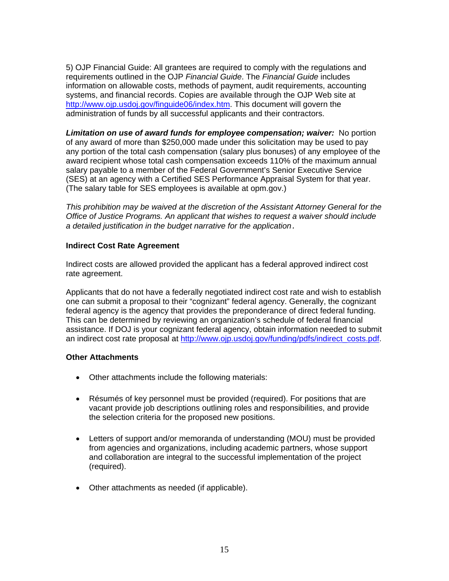5) OJP Financial Guide: All grantees are required to comply with the regulations and requirements outlined in the OJP *Financial Guide*. The *Financial Guide* includes information on allowable costs, methods of payment, audit requirements, accounting systems, and financial records. Copies are available through the OJP Web site at [http://www.ojp.usdoj.gov/finguide06/index.htm.](http://www.ojp.usdoj.gov/finguide06/index.htm) This document will govern the administration of funds by all successful applicants and their contractors.

*Limitation on use of award funds for employee compensation; waiver:* No portion of any award of more than \$250,000 made under this solicitation may be used to pay any portion of the total cash compensation (salary plus bonuses) of any employee of the award recipient whose total cash compensation exceeds 110% of the maximum annual salary payable to a member of the Federal Government's Senior Executive Service (SES) at an agency with a Certified SES Performance Appraisal System for that year. (The salary table for SES employees is available at opm.gov.)

*This prohibition may be waived at the discretion of the Assistant Attorney General for the Office of Justice Programs. An applicant that wishes to request a waiver should include a detailed justification in the budget narrative for the application.*

#### **Indirect Cost Rate Agreement**

Indirect costs are allowed provided the applicant has a federal approved indirect cost rate agreement.

Applicants that do not have a federally negotiated indirect cost rate and wish to establish one can submit a proposal to their "cognizant" federal agency. Generally, the cognizant federal agency is the agency that provides the preponderance of direct federal funding. This can be determined by reviewing an organization's schedule of federal financial assistance. If DOJ is your cognizant federal agency, obtain information needed to submit an indirect cost rate proposal at [http://www.ojp.usdoj.gov/funding/pdfs/indirect\\_costs.pdf](http://www.ojp.usdoj.gov/funding/pdfs/indirect_costs.pdf).

#### **Other Attachments**

- Other attachments include the following materials:
- Résumés of key personnel must be provided (required). For positions that are vacant provide job descriptions outlining roles and responsibilities, and provide the selection criteria for the proposed new positions.
- Letters of support and/or memoranda of understanding (MOU) must be provided from agencies and organizations, including academic partners, whose support and collaboration are integral to the successful implementation of the project (required).
- Other attachments as needed (if applicable).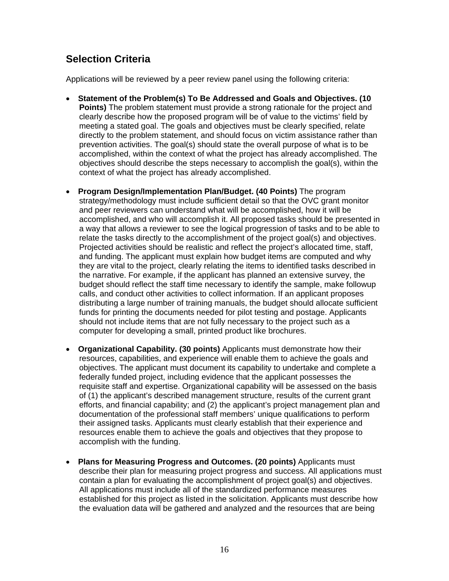### **Selection Criteria**

Applications will be reviewed by a peer review panel using the following criteria:

- • **Statement of the Problem(s) To Be Addressed and Goals and Objectives. (10 Points)** The problem statement must provide a strong rationale for the project and clearly describe how the proposed program will be of value to the victims' field by meeting a stated goal. The goals and objectives must be clearly specified, relate directly to the problem statement, and should focus on victim assistance rather than prevention activities. The goal(s) should state the overall purpose of what is to be accomplished, within the context of what the project has already accomplished. The objectives should describe the steps necessary to accomplish the goal(s), within the context of what the project has already accomplished.
- • **Program Design/Implementation Plan/Budget. (40 Points)** The program strategy/methodology must include sufficient detail so that the OVC grant monitor and peer reviewers can understand what will be accomplished, how it will be accomplished, and who will accomplish it. All proposed tasks should be presented in a way that allows a reviewer to see the logical progression of tasks and to be able to relate the tasks directly to the accomplishment of the project goal(s) and objectives. Projected activities should be realistic and reflect the project's allocated time, staff, and funding. The applicant must explain how budget items are computed and why they are vital to the project, clearly relating the items to identified tasks described in the narrative. For example, if the applicant has planned an extensive survey, the budget should reflect the staff time necessary to identify the sample, make followup calls, and conduct other activities to collect information. If an applicant proposes distributing a large number of training manuals, the budget should allocate sufficient funds for printing the documents needed for pilot testing and postage. Applicants should not include items that are not fully necessary to the project such as a computer for developing a small, printed product like brochures.
- • **Organizational Capability. (30 points)** Applicants must demonstrate how their resources, capabilities, and experience will enable them to achieve the goals and objectives. The applicant must document its capability to undertake and complete a federally funded project, including evidence that the applicant possesses the requisite staff and expertise. Organizational capability will be assessed on the basis of (1) the applicant's described management structure, results of the current grant efforts, and financial capability; and (2) the applicant's project management plan and documentation of the professional staff members' unique qualifications to perform their assigned tasks. Applicants must clearly establish that their experience and resources enable them to achieve the goals and objectives that they propose to accomplish with the funding.
- • **Plans for Measuring Progress and Outcomes. (20 points)** Applicants must describe their plan for measuring project progress and success. All applications must contain a plan for evaluating the accomplishment of project goal(s) and objectives. All applications must include all of the standardized performance measures established for this project as listed in the solicitation. Applicants must describe how the evaluation data will be gathered and analyzed and the resources that are being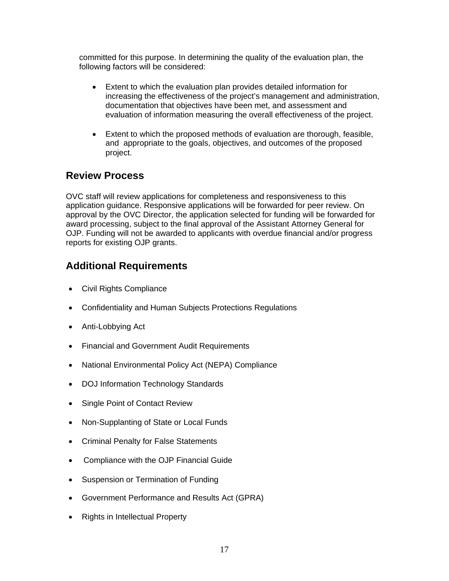committed for this purpose. In determining the quality of the evaluation plan, the following factors will be considered:

- Extent to which the evaluation plan provides detailed information for increasing the effectiveness of the project's management and administration, documentation that objectives have been met, and assessment and evaluation of information measuring the overall effectiveness of the project.
- Extent to which the proposed methods of evaluation are thorough, feasible, and appropriate to the goals, objectives, and outcomes of the proposed project.

### **Review Process**

OVC staff will review applications for completeness and responsiveness to this application guidance. Responsive applications will be forwarded for peer review. On approval by the OVC Director, the application selected for funding will be forwarded for award processing, subject to the final approval of the Assistant Attorney General for OJP. Funding will not be awarded to applicants with overdue financial and/or progress reports for existing OJP grants.

### **Additional Requirements**

- Civil Rights Compliance
- Confidentiality and Human Subjects Protections Regulations
- Anti-Lobbying Act
- Financial and Government Audit Requirements
- National Environmental Policy Act (NEPA) Compliance
- DOJ Information Technology Standards
- Single Point of Contact Review
- Non-Supplanting of State or Local Funds
- Criminal Penalty for False Statements
- Compliance with the OJP Financial Guide
- Suspension or Termination of Funding
- Government Performance and Results Act (GPRA)
- Rights in Intellectual Property